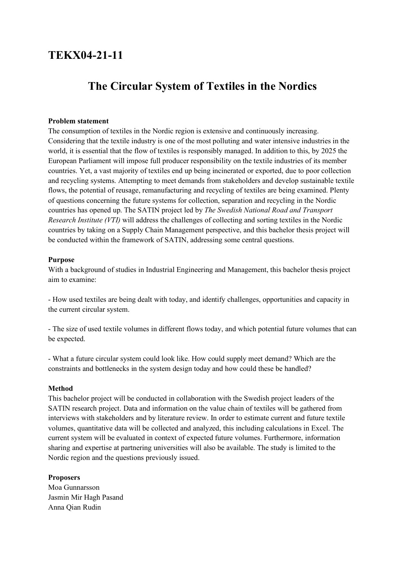## **TEKX04-21-11**

# **The Circular System of Textiles in the Nordics**

### **Problem statement**

The consumption of textiles in the Nordic region is extensive and continuously increasing. Considering that the textile industry is one of the most polluting and water intensive industries in the world, it is essential that the flow of textiles is responsibly managed. In addition to this, by 2025 the European Parliament will impose full producer responsibility on the textile industries of its member countries. Yet, a vast majority of textiles end up being incinerated or exported, due to poor collection and recycling systems. Attempting to meet demands from stakeholders and develop sustainable textile flows, the potential of reusage, remanufacturing and recycling of textiles are being examined. Plenty of questions concerning the future systems for collection, separation and recycling in the Nordic countries has opened up. The SATIN project led by *The Swedish National Road and Transport Research Institute (VTI)* will address the challenges of collecting and sorting textiles in the Nordic countries by taking on a Supply Chain Management perspective, and this bachelor thesis project will be conducted within the framework of SATIN, addressing some central questions.

#### **Purpose**

With a background of studies in Industrial Engineering and Management, this bachelor thesis project aim to examine:

- How used textiles are being dealt with today, and identify challenges, opportunities and capacity in the current circular system.

- The size of used textile volumes in different flows today, and which potential future volumes that can be expected.

- What a future circular system could look like. How could supply meet demand? Which are the constraints and bottlenecks in the system design today and how could these be handled?

#### **Method**

This bachelor project will be conducted in collaboration with the Swedish project leaders of the SATIN research project. Data and information on the value chain of textiles will be gathered from interviews with stakeholders and by literature review. In order to estimate current and future textile volumes, quantitative data will be collected and analyzed, this including calculations in Excel. The current system will be evaluated in context of expected future volumes. Furthermore, information sharing and expertise at partnering universities will also be available. The study is limited to the Nordic region and the questions previously issued.

#### **Proposers**

Moa Gunnarsson Jasmin Mir Hagh Pasand Anna Qian Rudin